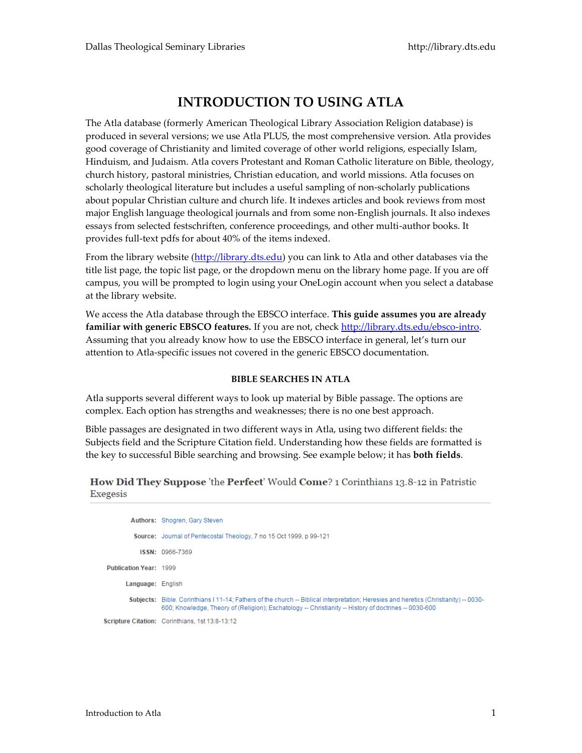## **INTRODUCTION TO USING ATLA**

The Atla database (formerly American Theological Library Association Religion database) is produced in several versions; we use Atla PLUS, the most comprehensive version. Atla provides good coverage of Christianity and limited coverage of other world religions, especially Islam, Hinduism, and Judaism. Atla covers Protestant and Roman Catholic literature on Bible, theology, church history, pastoral ministries, Christian education, and world missions. Atla focuses on scholarly theological literature but includes a useful sampling of non-scholarly publications about popular Christian culture and church life. It indexes articles and book reviews from most major English language theological journals and from some non-English journals. It also indexes essays from selected festschriften, conference proceedings, and other multi-author books. It provides full-text pdfs for about 40% of the items indexed.

From the library website [\(http://library.dts.edu\)](http://library.dts.edu/) you can link to Atla and other databases via the title list page, the topic list page, or the dropdown menu on the library home page. If you are off campus, you will be prompted to login using your OneLogin account when you select a database at the library website.

We access the Atla database through the EBSCO interface. **This guide assumes you are already familiar with generic EBSCO features.** If you are not, check [http://library.dts.edu/ebsco-intro.](http://library.dts.edu/ebsco-intro) Assuming that you already know how to use the EBSCO interface in general, let's turn our attention to Atla-specific issues not covered in the generic EBSCO documentation.

### **BIBLE SEARCHES IN ATLA**

Atla supports several different ways to look up material by Bible passage. The options are complex. Each option has strengths and weaknesses; there is no one best approach.

Bible passages are designated in two different ways in Atla, using two different fields: the Subjects field and the Scripture Citation field. Understanding how these fields are formatted is the key to successful Bible searching and browsing. See example below; it has **both fields**.

| How Did They Suppose 'the Perfect' Would Come? 1 Corinthians 13.8-12 in Patristic |  |  |
|-----------------------------------------------------------------------------------|--|--|
| Exegesis                                                                          |  |  |

|                        | <b>Authors: Shogren, Gary Steven</b>                                                                                                                                                                                                           |
|------------------------|------------------------------------------------------------------------------------------------------------------------------------------------------------------------------------------------------------------------------------------------|
|                        | Source: Journal of Pentecostal Theology, 7 no 15 Oct 1999, p 99-121                                                                                                                                                                            |
|                        | ISSN: 0966-7369                                                                                                                                                                                                                                |
| Publication Year: 1999 |                                                                                                                                                                                                                                                |
| Language: English      |                                                                                                                                                                                                                                                |
|                        | Subjects: Bible, Corinthians   11-14; Fathers of the church -- Biblical interpretation; Heresies and heretics (Christianity) -- 0030-<br>600; Knowledge, Theory of (Religion); Eschatology -- Christianity -- History of doctrines -- 0030-600 |
|                        | Scripture Citation: Corinthians, 1st 13:8-13:12                                                                                                                                                                                                |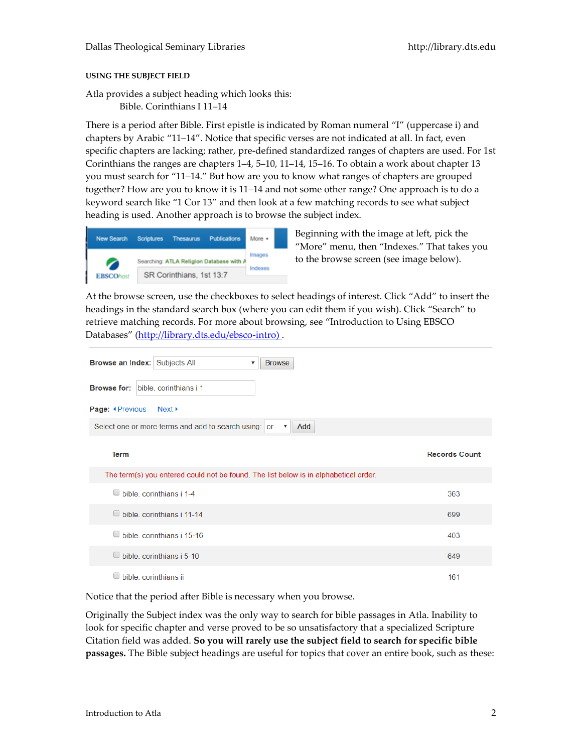#### **USING THE SUBJECT FIELD**

Atla provides a subject heading which looks this: Bible. Corinthians I 11–14

There is a period after Bible. First epistle is indicated by Roman numeral "I" (uppercase i) and chapters by Arabic "11–14". Notice that specific verses are not indicated at all. In fact, even specific chapters are lacking; rather, pre-defined standardized ranges of chapters are used. For 1st Corinthians the ranges are chapters 1–4, 5–10, 11–14, 15–16. To obtain a work about chapter 13 you must search for "11–14." But how are you to know what ranges of chapters are grouped together? How are you to know it is 11–14 and not some other range? One approach is to do a keyword search like "1 Cor 13" and then look at a few matching records to see what subject heading is used. Another approach is to browse the subject index.



Beginning with the image at left, pick the "More" menu, then "Indexes." That takes you to the browse screen (see image below).

At the browse screen, use the checkboxes to select headings of interest. Click "Add" to insert the headings in the standard search box (where you can edit them if you wish). Click "Search" to retrieve matching records. For more about browsing, see "Introduction to Using EBSCO Databases" ([http://library.dts.edu/ebsco-intro\)](http://library.dts.edu/ebsco-intro).

| <b>Browse an Index: Subjects All</b><br><b>Browse</b><br>▼                           |                      |
|--------------------------------------------------------------------------------------|----------------------|
| <b>Browse for:</b> bible, corinthians i 1                                            |                      |
| Page: <i>*Previous</i> Next >                                                        |                      |
| Select one or more terms and add to search using: or<br>Add<br>$\pmb{\nabla}$        |                      |
| <b>Term</b>                                                                          | <b>Records Count</b> |
| The term(s) you entered could not be found. The list below is in alphabetical order. |                      |
| $\Box$ bible, corinthians i 1-4                                                      | 363                  |
| bible, corinthians i 11-14                                                           | 699                  |
| $\Box$ bible, corinthians i 15-16                                                    | 403                  |
| $\Box$ bible, corinthians i 5-10                                                     | 649                  |
| bible, corinthians ii                                                                | 161                  |

Notice that the period after Bible is necessary when you browse.

Originally the Subject index was the only way to search for bible passages in Atla. Inability to look for specific chapter and verse proved to be so unsatisfactory that a specialized Scripture Citation field was added. **So you will rarely use the subject field to search for specific bible passages.** The Bible subject headings are useful for topics that cover an entire book, such as these: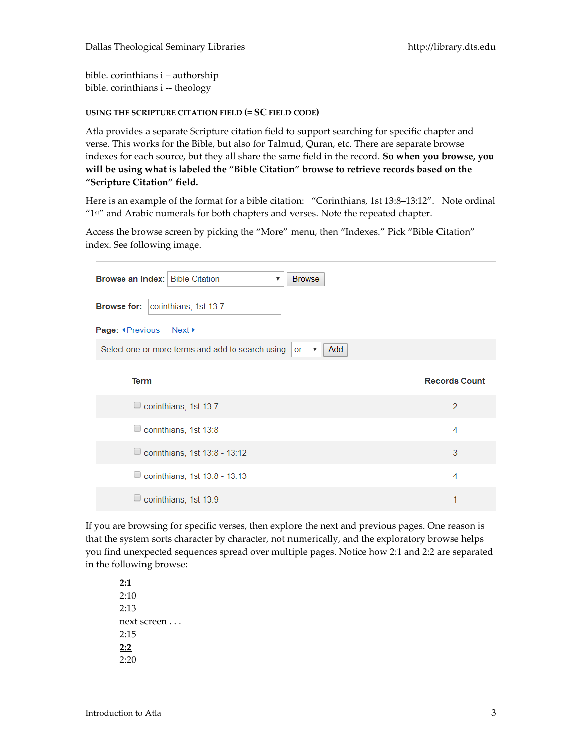bible. corinthians i – authorship bible. corinthians i -- theology

#### **USING THE SCRIPTURE CITATION FIELD (= SC FIELD CODE)**

Atla provides a separate Scripture citation field to support searching for specific chapter and verse. This works for the Bible, but also for Talmud, Quran, etc. There are separate browse indexes for each source, but they all share the same field in the record. **So when you browse, you will be using what is labeled the "Bible Citation" browse to retrieve records based on the "Scripture Citation" field.**

Here is an example of the format for a bible citation: "Corinthians, 1st 13:8–13:12". Note ordinal "1 st" and Arabic numerals for both chapters and verses. Note the repeated chapter.

Access the browse screen by picking the "More" menu, then "Indexes." Pick "Bible Citation" index. See following image.

| <b>Browse an Index: Bible Citation</b><br><b>Browse</b><br>$\boldsymbol{\mathrm{v}}$ |                      |
|--------------------------------------------------------------------------------------|----------------------|
| <b>Browse for:   corinthians, 1st 13:7</b>                                           |                      |
| Page: <b>I</b> Previous<br>Next ▶                                                    |                      |
| Select one or more terms and add to search using: or<br>Add<br>▼                     |                      |
| <b>Term</b>                                                                          | <b>Records Count</b> |
|                                                                                      |                      |
| $\Box$ corinthians, 1st 13:7                                                         | 2                    |
| $\Box$ corinthians, 1st 13:8                                                         | 4                    |
| $\Box$ corinthians, 1st 13:8 - 13:12                                                 | 3                    |
| $\Box$ corinthians, 1st 13:8 - 13:13                                                 | 4                    |
| $\Box$ corinthians, 1st 13:9                                                         |                      |

If you are browsing for specific verses, then explore the next and previous pages. One reason is that the system sorts character by character, not numerically, and the exploratory browse helps you find unexpected sequences spread over multiple pages. Notice how 2:1 and 2:2 are separated in the following browse:

**2:1** 2:10 2:13 next screen . . . 2:15 **2:2**  2:20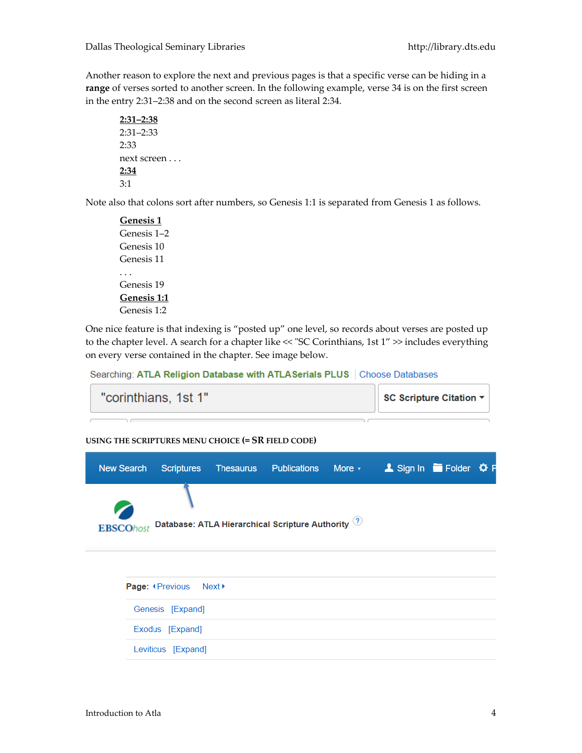Another reason to explore the next and previous pages is that a specific verse can be hiding in a **range** of verses sorted to another screen. In the following example, verse 34 is on the first screen in the entry 2:31–2:38 and on the second screen as literal 2:34.

```
2:31–2:38
2:31–2:33
2:33
next screen . . .
2:34
3:1
```
Note also that colons sort after numbers, so Genesis 1:1 is separated from Genesis 1 as follows.

**Genesis 1** Genesis 1–2 Genesis 10 Genesis 11 . . . Genesis 19 **Genesis 1:1** Genesis 1:2

One nice feature is that indexing is "posted up" one level, so records about verses are posted up to the chapter level. A search for a chapter like << "SC Corinthians, 1st 1" >> includes everything on every verse contained in the chapter. See image below.

Searching: ATLA Religion Database with ATLASerials PLUS | Choose Databases

| "corinthians, 1st 1" | SC Scripture Citation ▼ |
|----------------------|-------------------------|
|                      |                         |

**USING THE SCRIPTURES MENU CHOICE (= SR FIELD CODE)**

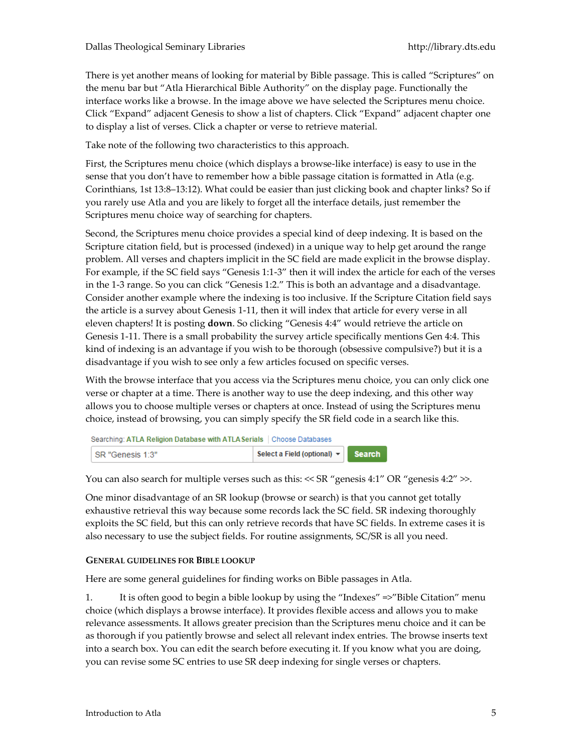There is yet another means of looking for material by Bible passage. This is called "Scriptures" on the menu bar but "Atla Hierarchical Bible Authority" on the display page. Functionally the interface works like a browse. In the image above we have selected the Scriptures menu choice. Click "Expand" adjacent Genesis to show a list of chapters. Click "Expand" adjacent chapter one to display a list of verses. Click a chapter or verse to retrieve material.

Take note of the following two characteristics to this approach.

First, the Scriptures menu choice (which displays a browse-like interface) is easy to use in the sense that you don't have to remember how a bible passage citation is formatted in Atla (e.g. Corinthians, 1st 13:8–13:12). What could be easier than just clicking book and chapter links? So if you rarely use Atla and you are likely to forget all the interface details, just remember the Scriptures menu choice way of searching for chapters.

Second, the Scriptures menu choice provides a special kind of deep indexing. It is based on the Scripture citation field, but is processed (indexed) in a unique way to help get around the range problem. All verses and chapters implicit in the SC field are made explicit in the browse display. For example, if the SC field says "Genesis 1:1-3" then it will index the article for each of the verses in the 1-3 range. So you can click "Genesis 1:2." This is both an advantage and a disadvantage. Consider another example where the indexing is too inclusive. If the Scripture Citation field says the article is a survey about Genesis 1-11, then it will index that article for every verse in all eleven chapters! It is posting **down**. So clicking "Genesis 4:4" would retrieve the article on Genesis 1-11. There is a small probability the survey article specifically mentions Gen 4:4. This kind of indexing is an advantage if you wish to be thorough (obsessive compulsive?) but it is a disadvantage if you wish to see only a few articles focused on specific verses.

With the browse interface that you access via the Scriptures menu choice, you can only click one verse or chapter at a time. There is another way to use the deep indexing, and this other way allows you to choose multiple verses or chapters at once. Instead of using the Scriptures menu choice, instead of browsing, you can simply specify the SR field code in a search like this.

Searching: ATLA Religion Database with ATLA Serials | Choose Databases

| Select a Field (optional) $\star$<br>SR "Genesis 1:3" |
|-------------------------------------------------------|
|-------------------------------------------------------|

You can also search for multiple verses such as this:  $<<$  SR "genesis 4:1" OR "genesis 4:2"  $>>$ .

One minor disadvantage of an SR lookup (browse or search) is that you cannot get totally exhaustive retrieval this way because some records lack the SC field. SR indexing thoroughly exploits the SC field, but this can only retrieve records that have SC fields. In extreme cases it is also necessary to use the subject fields. For routine assignments, SC/SR is all you need.

#### **GENERAL GUIDELINES FOR BIBLE LOOKUP**

Here are some general guidelines for finding works on Bible passages in Atla.

1. It is often good to begin a bible lookup by using the "Indexes" =>"Bible Citation" menu choice (which displays a browse interface). It provides flexible access and allows you to make relevance assessments. It allows greater precision than the Scriptures menu choice and it can be as thorough if you patiently browse and select all relevant index entries. The browse inserts text into a search box. You can edit the search before executing it. If you know what you are doing, you can revise some SC entries to use SR deep indexing for single verses or chapters.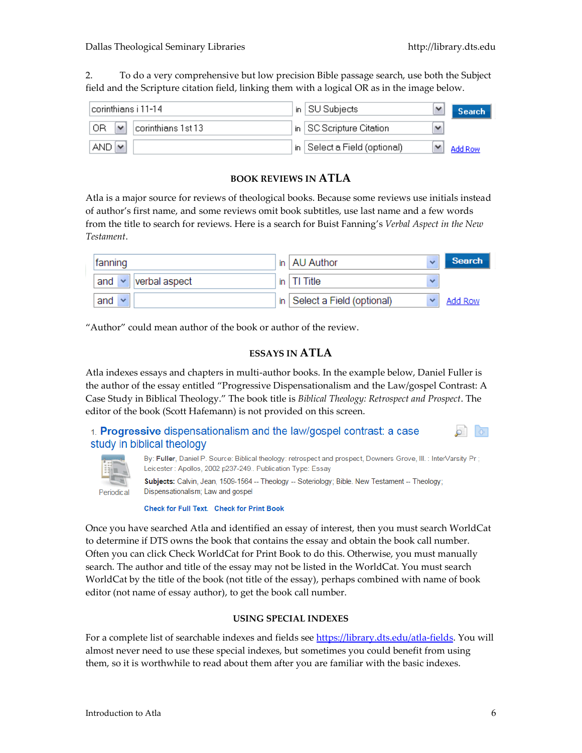2. To do a very comprehensive but low precision Bible passage search, use both the Subject field and the Scripture citation field, linking them with a logical OR as in the image below.

| !corinthians i 11-14.                     | in.  | SU Subjects                             | v | Search  |
|-------------------------------------------|------|-----------------------------------------|---|---------|
| `OR<br>corinthians 1st 13<br>$\checkmark$ |      | $^{\rm t}$ in   SC Scripture Citation . | v |         |
| <b>AND</b><br>$\overline{a}$              | in l | Select a Field (optional)               |   | Add Row |

## **BOOK REVIEWS IN ATLA**

Atla is a major source for reviews of theological books. Because some reviews use initials instead of author's first name, and some reviews omit book subtitles, use last name and a few words from the title to search for reviews. Here is a search for Buist Fanning's *Verbal Aspect in the New Testament*.

| fanning                              | in   AU Author<br>$\checkmark$               | <b>Search</b> |
|--------------------------------------|----------------------------------------------|---------------|
| and<br>verbal aspect<br>$\checkmark$ | in $ T $ Title<br>$\checkmark$               |               |
| and<br>$\checkmark$                  | in Select a Field (optional)<br>$\checkmark$ | Add Row       |

"Author" could mean author of the book or author of the review.

## **ESSAYS IN ATLA**

Atla indexes essays and chapters in multi-author books. In the example below, Daniel Fuller is the author of the essay entitled "Progressive Dispensationalism and the Law/gospel Contrast: A Case Study in Biblical Theology." The book title is *Biblical Theology: Retrospect and Prospect*. The editor of the book (Scott Hafemann) is not provided on this screen.

1. Progressive dispensationalism and the law/gospel contrast: a case study in biblical theology



By: Fuller, Daniel P. Source: Biblical theology: retrospect and prospect, Downers Grove, III.: InterVarsity Pr; Leicester: Apollos, 2002 p237-249.. Publication Type: Essay Subjects: Calvin, Jean, 1509-1564 -- Theology -- Soteriology; Bible. New Testament -- Theology;

Dispensationalism; Law and gospel Periodical

Check for Full Text. Check for Print Book

Once you have searched Atla and identified an essay of interest, then you must search WorldCat to determine if DTS owns the book that contains the essay and obtain the book call number. Often you can click Check WorldCat for Print Book to do this. Otherwise, you must manually search. The author and title of the essay may not be listed in the WorldCat. You must search WorldCat by the title of the book (not title of the essay), perhaps combined with name of book editor (not name of essay author), to get the book call number.

#### **USING SPECIAL INDEXES**

For a complete list of searchable indexes and fields see [https://library.dts.edu/atla-fields.](https://library.dts.edu/atla-fields) You will almost never need to use these special indexes, but sometimes you could benefit from using them, so it is worthwhile to read about them after you are familiar with the basic indexes.